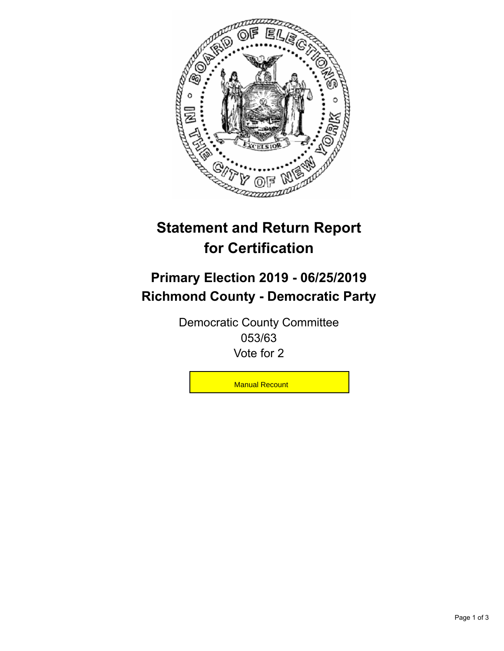

## **Statement and Return Report for Certification**

## **Primary Election 2019 - 06/25/2019 Richmond County - Democratic Party**

Democratic County Committee 053/63 Vote for 2

**Manual Recount**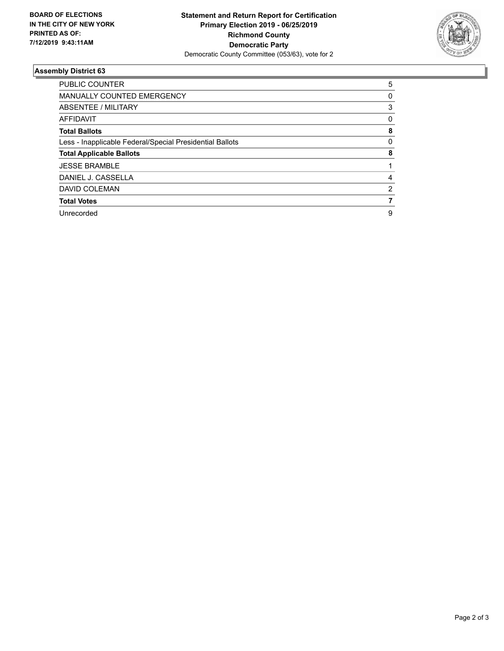

## **Assembly District 63**

| <b>PUBLIC COUNTER</b>                                    | 5 |
|----------------------------------------------------------|---|
| <b>MANUALLY COUNTED EMERGENCY</b>                        | 0 |
| ABSENTEE / MILITARY                                      | 3 |
| <b>AFFIDAVIT</b>                                         | 0 |
| <b>Total Ballots</b>                                     | 8 |
| Less - Inapplicable Federal/Special Presidential Ballots | 0 |
| <b>Total Applicable Ballots</b>                          | 8 |
| <b>JESSE BRAMBLE</b>                                     |   |
| DANIEL J. CASSELLA                                       | 4 |
| DAVID COLEMAN                                            | 2 |
| <b>Total Votes</b>                                       |   |
| Unrecorded                                               | 9 |